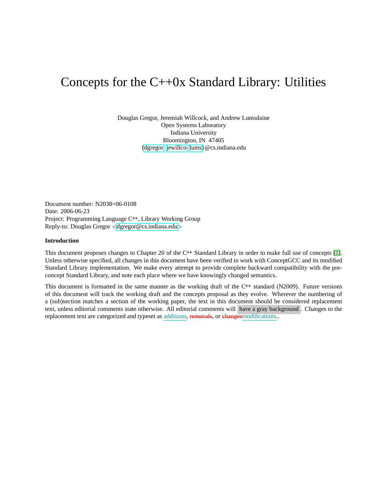# Concepts for the  $C++0x$  Standard Library: Utilities

Douglas Gregor, Jeremiah Willcock, and Andrew Lumsdaine Open Systems Laboratory Indiana University Bloomington, IN 47405 [{dgregor,](mailto:dgregor@cs.indiana.edu) [jewillco,](mailto:jewillco@cs.indiana.edu) [lums}](mailto:lums@cs.indiana.edu)@cs.indiana.edu

Document number: N2038=06-0108 Date: 2006-06-23 Project: Programming Language C**++**, Library Working Group Reply-to: Douglas Gregor <[dgregor@cs.indiana.edu](mailto:dgregor@cs.indiana.edu)>

# **Introduction**

This document proposes changes to Chapter 20 of the C**++** Standard Library in order to make full use of concepts [\[1\]](#page-7-0). Unless otherwise specified, all changes in this document have been verified to work with ConceptGCC and its modified Standard Library implementation. We make every attempt to provide complete backward compatibility with the preconcept Standard Library, and note each place where we have knowingly changed semantics.

This document is formatted in the same manner as the working draft of the C**++** standard (N2009). Future versions of this document will track the working draft and the concepts proposal as they evolve. Wherever the numbering of a (sub)section matches a section of the working paper, the text in this document should be considered replacement text, unless editorial comments state otherwise. All editorial comments will have a gray background . Changes to the replacement text are categorized and typeset as additions, removals, or changes modifications..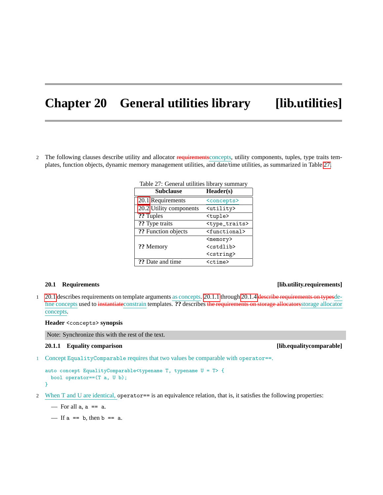# **Chapter 20 General utilities library [lib.utilities]**

2 The following clauses describe utility and allocator requirements concepts, utility components, tuples, type traits templates, function objects, dynamic memory management utilities, and date/time utilities, as summarized in Table [27.](#page-1-0)

| <b>Subclause</b>        | Header(s)                   |
|-------------------------|-----------------------------|
| 20.1 Requirements       | <concepts></concepts>       |
| 20.2 Utility components | <utility></utility>         |
| ?? Tuples               | <tuple></tuple>             |
| ?? Type traits          | <type_traits></type_traits> |
| ?? Function objects     | <functional></functional>   |
| ?? Memory               | <memory></memory>           |
|                         | <cstdlib></cstdlib>         |
|                         | <cstring></cstring>         |
| ?? Date and time        | <ctime></ctime>             |

<span id="page-1-0"></span>Table 27: General utilities library summary

# <span id="page-1-1"></span>**20.1 Requirements [lib.utility.requirements]**

1 [20.1](#page-1-1) describes requirements on template arguments as concepts. [20.1.1](#page-1-2) through [20.1.4](#page-2-0) describe requirements on typesdefine concepts used to instantiateconstrain templates. **??** describes the requirements on storage allocatorsstorage allocator concepts.

# **Header** <concepts> **synopsis**

Note: Synchronize this with the rest of the text.

1 Concept EqualityComparable requires that two values be comparable with operator==.

```
auto concept EqualityComparable<typename T, typename U = T> {
 bool operator==(T a, U b);
}
```
2 When T and U are identical, operator== is an equivalence relation, that is, it satisfies the following properties:

 $-$  For all a,  $a == a$ .

— If  $a == b$ , then  $b == a$ .

<span id="page-1-2"></span>**20.1.1 Equality comparison [lib.equalitycomparable]**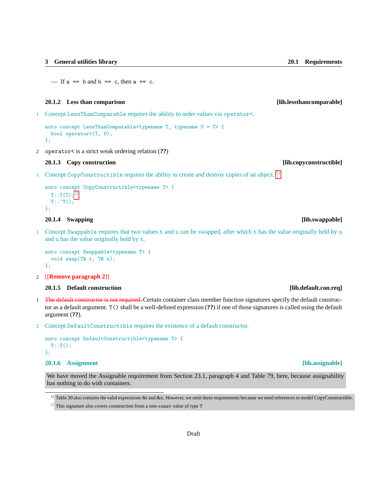— If  $a == b$  and  $b == c$ , then  $a == c$ .

### **20.1.2 Less than comparison [lib.lessthancomparable]**

1 Concept LessThanComparable requires the ability to order values via operator<.

```
auto concept LessThanComparable<typename T, typename U = T> {
 bool operator<(T, U);
};
```
2 operator< is a strict weak ordering relation (**??**)

# **20.1.3 Copy construction [lib.copyconstructible]**

1 Concept CopyConstructible requires the ability to create and destroy copies of an object. <sup>[1\)](#page-2-1)</sup>

```
auto concept CopyConstructible<typename T> {
 T::T(T);^{2}T::T();
};
```
# <span id="page-2-0"></span>**20.1.4 Swapping [lib.swappable]**

1 Concept Swappable requires that two values t and u can be swapped, after which t has the value originally held by u and u has the value originally held by t.

```
auto concept Swappable<typename T> {
 void swap(T& t, T& u);
};
```
2 [[**Remove paragraph 2**]]

# **20.1.5 Default construction [lib.default.con.req]**

- 1 The default constructor is not required. Certain container class member function signatures specify the default constructor as a default argument. T() shall be a well-defined expression (**??**) if one of those signatures is called using the default argument (**??**).
- 2 Concept DefaultConstructible requires the existence of a default constructor.

```
auto concept DefaultConstructible<typename T> {
 T::T();
};
```
# **20.1.6 Assignment [lib.assignable]**

We have moved the Assignable requirement from Section 23.1, paragraph 4 and Table 79, here, because assignability has nothing to do with containers.

<span id="page-2-1"></span><sup>&</sup>lt;sup>1)</sup> Table 30 also contains the valid expressions &t and &u. However, we omit these requirements because we need references to model CopyConstructible.

<span id="page-2-2"></span><sup>&</sup>lt;sup>2)</sup> This signature also covers construction from a non-const value of type T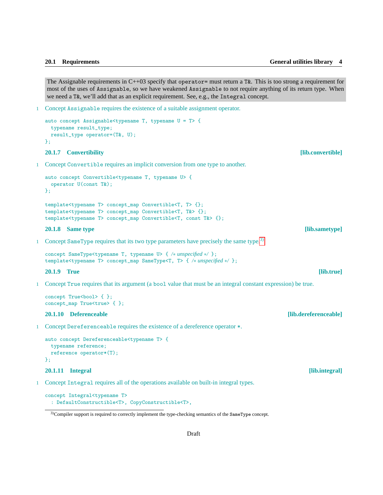The Assignable requirements in  $C++03$  specify that operator= must return a T&. This is too strong a requirement for most of the uses of Assignable, so we have weakened Assignable to not require anything of its return type. When we need a T&, we'll add that as an explicit requirement. See, e.g., the Integral concept.

1 Concept Assignable requires the existence of a suitable assignment operator.

```
auto concept Assignable<typename T, typename U = T> {
 typename result_type;
 result_type operator=(T&, U);
};
```
## **20.1.7 Convertibility [lib.convertible]**

1 Concept Convertible requires an implicit conversion from one type to another.

```
auto concept Convertible<typename T, typename U> {
 operator U(const T&);
};
template<typename T> concept_map Convertible<T, T> {};
template<typename T> concept_map Convertible<T, T&> {};
template<typename T> concept_map Convertible<T, const T&> {};
```

```
20.1.8 Same type [lib.sametype]
```
1 Concept SameType requires that its two type parameters have precisely the same type.<sup>[3\)](#page-3-0)</sup>

```
concept SameType<typename T, typename U> { /∗ unspecified ∗/ };
template<typename T> concept_map SameType<T, T> { /∗ unspecified ∗/ };
```
**20.1.9 True [lib.true]**

1 Concept True requires that its argument (a bool value that must be an integral constant expression) be true.

```
concept True<br/>bool> { };
concept_map True<true> { };
```
# **20.1.10 Deferenceable [lib.dereferenceable]**

1 Concept Dereferenceable requires the existence of a dereference operator \*.

```
auto concept Dereferenceable<typename T> {
 typename reference;
 reference operator*(T);
};
```
# **20.1.11 Integral [lib.integral]**

1 Concept Integral requires all of the operations available on built-in integral types.

```
concept Integral<typename T>
  : DefaultConstructible<T>, CopyConstructible<T>,
```
<span id="page-3-0"></span><sup>3)</sup>Compiler support is required to correctly implement the type-checking semantics of the SameType concept.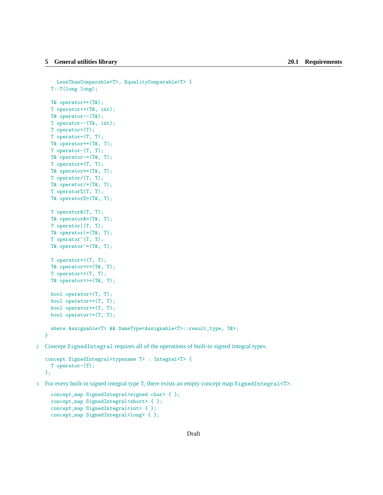```
LessThanComparable<T>, EqualityComparable<T> {
  T::T(long long);
  T& operator++(T&);
  T operator++(T&, int);
  T& operator--(T&);
  T operator--(T&, int);
  T operator+(T);
  T operator+(T, T);
 T& operator+=(T&, T);
  T operator-(T, T);
  T& operator-=(T&, T);
  T operator*(T, T);
  T& operator*=(T&, T);
  T operator/(T, T);
  T& operator/=(T&, T);
  T operator%(T, T);
  T& operator%=(T&, T);
  T operator&(T, T);
  T& operator&=(T&, T);
  T operator|(T, T);
 T& operator|=(T&, T);T operator<sup>o</sup>(T, T);
  T& operator\hat{}=(T\&, T);T operator << (T, T);
 T& operator<<=(T&, T);
  T operator>>(T, T);
  T& operator>>=(T&, T);bool operator>(T, T);
 bool operator<=(T, T);
 bool operator>=(T, T);
 bool operator!=(T, T);
  where Assignable<T> && SameType<Assignable<T>::result_type, T&>;
}
```
2 Concept SignedIntegral requires all of the operations of built-in signed integral types.

```
concept SignedIntegral<typename T> : Integral<T> {
 T operator-(T);
};
```
3 For every built-in signed integral type T, there exists an empty concept map SignedIntegral<T>.

```
concept_map SignedIntegral<signed char> { };
concept_map SignedIntegral<short> { };
concept_map SignedIntegral<int> { };
concept_map SignedIntegral<long> { };
```

```
Draft
```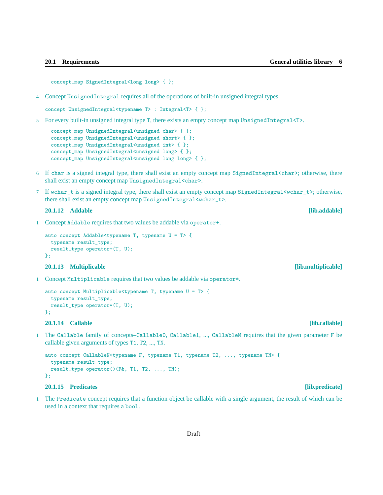concept\_map SignedIntegral<long long> { };

4 Concept UnsignedIntegral requires all of the operations of built-in unsigned integral types.

```
concept UnsignedIntegral<typename T> : Integral<T> { };
```
5 For every built-in unsigned integral type T, there exists an empty concept map UnsignedIntegral<T>.

```
concept_map UnsignedIntegral<unsigned char> { };
concept_map UnsignedIntegral<unsigned short> { };
concept_map UnsignedIntegral<unsigned int> { };
concept_map UnsignedIntegral<unsigned long> { };
concept_map UnsignedIntegral<unsigned long long> { };
```
- 6 If char is a signed integral type, there shall exist an empty concept map SignedIntegral<char>; otherwise, there shall exist an empty concept map UnsignedIntegral<char>.
- 7 If wchar\_t is a signed integral type, there shall exist an empty concept map SignedIntegral<wchar\_t>; otherwise, there shall exist an empty concept map UnsignedIntegral<wchar\_t>.

# **20.1.12 Addable [lib.addable]**

1 Concept Addable requires that two values be addable via operator+.

```
auto concept Addable<typename T, typename U = T> {
 typename result_type;
 result_type operator+(T, U);
};
```
# **20.1.13 Multiplicable [lib.multiplicable]**

1 Concept Multiplicable requires that two values be addable via operator\*.

```
auto concept Multiplicable<typename T, typename U = T> {
 typename result_type;
 result_type operator*(T, U);
};
```
# **20.1.14 Callable [lib.callable]**

1 The Callable family of concepts–Callable0, Callable1, ..., CallableM requires that the given parameter F be callable given arguments of types T1, T2, ..., TN.

```
auto concept CallableN<typename F, typename T1, typename T2, ..., typename TN> {
 typename result_type;
 result_type operator()(F&, T1, T2, ..., TN);
};
```
# **20.1.15 Predicates [lib.predicate]**

1 The Predicate concept requires that a function object be callable with a single argument, the result of which can be used in a context that requires a bool.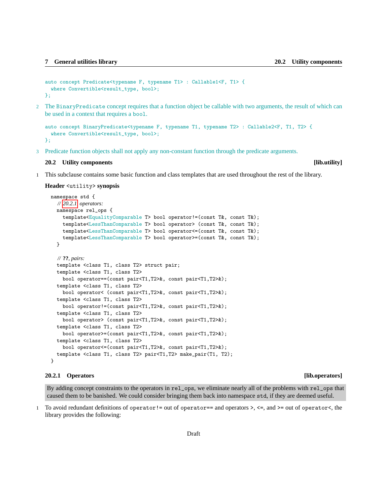```
auto concept Predicate<typename F, typename T1> : Callable1<F, T1> {
  where Convertible<result_type, bool>;
};
```
2 The BinaryPredicate concept requires that a function object be callable with two arguments, the result of which can be used in a context that requires a bool.

```
auto concept BinaryPredicate<typename F, typename T1, typename T2> : Callable2<F, T1, T2> {
  where Convertible<result_type, bool>;
};
```
3 Predicate function objects shall not apply any non-constant function through the predicate arguments.

### <span id="page-6-0"></span>**20.2 Utility components [lib.utility]**

1 This subclause contains some basic function and class templates that are used throughout the rest of the library.

## **Header** <utility> **synopsis**

```
namespace std {
  // 20.2.1, operators:
  namespace rel_ops {
    template<EqualityComparable T> bool operator!=(const T&, const T&);
    template<LessThanComparable T> bool operator> (const T&, const T&);
    template<LessThanComparable T> bool operator<=(const T&, const T&);
    template<LessThanComparable T> bool operator>=(const T&, const T&);
  }
  // ??, pairs:
  template <class T1, class T2> struct pair;
  template <class T1, class T2>
    bool operator==(const pair<T1,T2>&, const pair<T1,T2>&);
  template <class T1, class T2>
    bool operator< (const pair<T1,T2>&, const pair<T1,T2>&);
  template <class T1, class T2>
    bool operator!=(const pair<T1,T2>&, const pair<T1,T2>&);
  template <class T1, class T2>
    bool operator> (const pair<T1,T2>&, const pair<T1,T2>&);
  template <class T1, class T2>
    bool operator>=(const pair<T1,T2>&, const pair<T1,T2>&);
  template <class T1, class T2>
    bool operator<=(const pair<T1,T2>&, const pair<T1,T2>&);
  template <class T1, class T2> pair<T1,T2> make_pair(T1, T2);
}
```
### <span id="page-6-1"></span>**20.2.1 Operators [lib.operators]**

By adding concept constraints to the operators in rel\_ops, we eliminate nearly all of the problems with rel\_ops that caused them to be banished. We could consider bringing them back into namespace std, if they are deemed useful.

1 To avoid redundant definitions of operator!= out of operator== and operators >, <=, and >= out of operator<, the library provides the following: